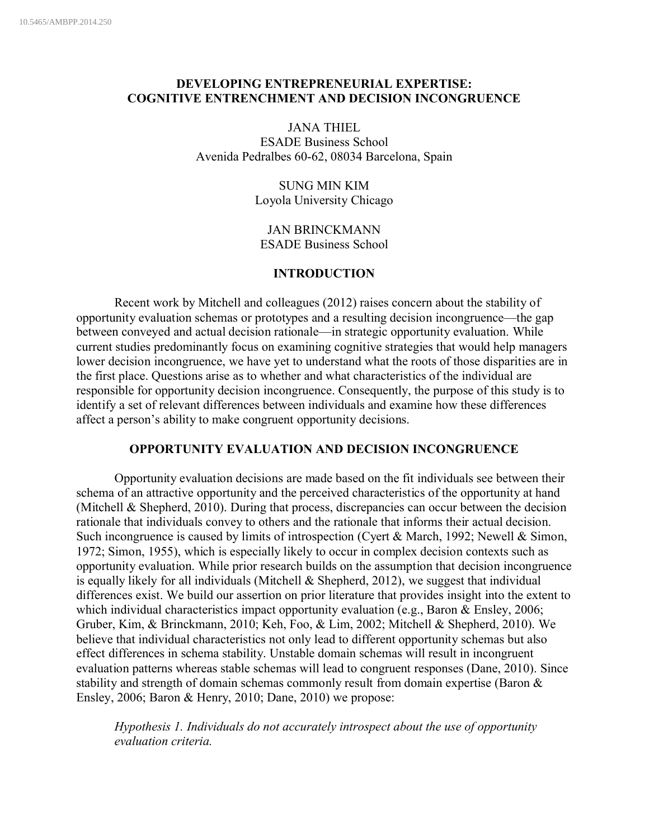# **DEVELOPING ENTREPRENEURIAL EXPERTISE: COGNITIVE ENTRENCHMENT AND DECISION INCONGRUENCE**

JANA THIEL ESADE Business School Avenida Pedralbes 60-62, 08034 Barcelona, Spain

> SUNG MIN KIM Loyola University Chicago

JAN BRINCKMANN ESADE Business School

# **INTRODUCTION**

Recent work by Mitchell and colleagues (2012) raises concern about the stability of opportunity evaluation schemas or prototypes and a resulting decision incongruence—the gap between conveyed and actual decision rationale—in strategic opportunity evaluation. While current studies predominantly focus on examining cognitive strategies that would help managers lower decision incongruence, we have yet to understand what the roots of those disparities are in the first place. Questions arise as to whether and what characteristics of the individual are responsible for opportunity decision incongruence. Consequently, the purpose of this study is to identify a set of relevant differences between individuals and examine how these differences affect a person's ability to make congruent opportunity decisions.

## **OPPORTUNITY EVALUATION AND DECISION INCONGRUENCE**

Opportunity evaluation decisions are made based on the fit individuals see between their schema of an attractive opportunity and the perceived characteristics of the opportunity at hand (Mitchell & Shepherd, 2010). During that process, discrepancies can occur between the decision rationale that individuals convey to others and the rationale that informs their actual decision. Such incongruence is caused by limits of introspection (Cyert & March, 1992; Newell & Simon, 1972; Simon, 1955), which is especially likely to occur in complex decision contexts such as opportunity evaluation. While prior research builds on the assumption that decision incongruence is equally likely for all individuals (Mitchell  $\&$  Shepherd, 2012), we suggest that individual differences exist. We build our assertion on prior literature that provides insight into the extent to which individual characteristics impact opportunity evaluation (e.g., Baron & Ensley, 2006; Gruber, Kim, & Brinckmann, 2010; Keh, Foo, & Lim, 2002; Mitchell & Shepherd, 2010). We believe that individual characteristics not only lead to different opportunity schemas but also effect differences in schema stability. Unstable domain schemas will result in incongruent evaluation patterns whereas stable schemas will lead to congruent responses (Dane, 2010). Since stability and strength of domain schemas commonly result from domain expertise (Baron & Ensley, 2006; Baron & Henry, 2010; Dane, 2010) we propose:

*Hypothesis 1. Individuals do not accurately introspect about the use of opportunity evaluation criteria.*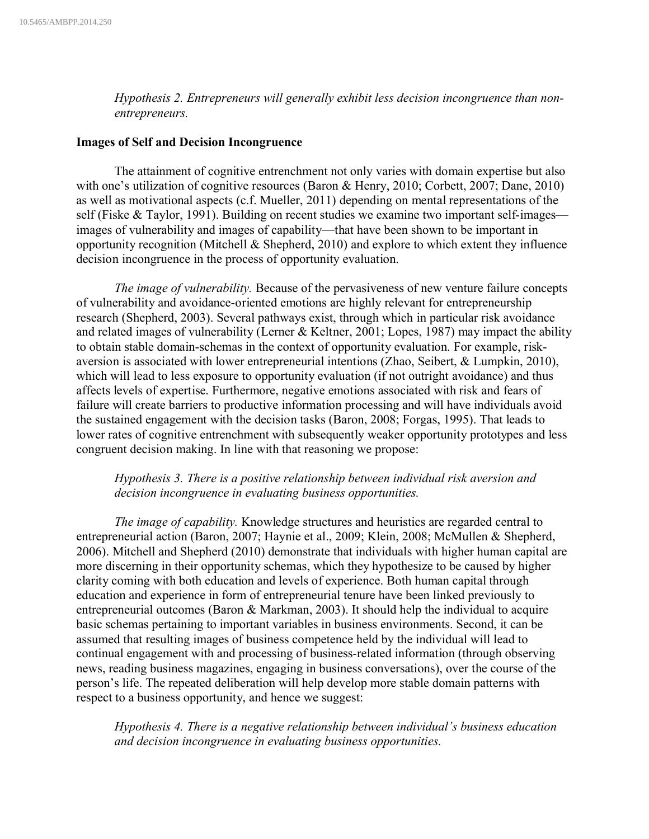*Hypothesis 2. Entrepreneurs will generally exhibit less decision incongruence than nonentrepreneurs.*

#### **Images of Self and Decision Incongruence**

The attainment of cognitive entrenchment not only varies with domain expertise but also with one's utilization of cognitive resources (Baron & Henry, 2010; Corbett, 2007; Dane, 2010) as well as motivational aspects (c.f. Mueller, 2011) depending on mental representations of the self (Fiske & Taylor, 1991). Building on recent studies we examine two important self-images images of vulnerability and images of capability—that have been shown to be important in opportunity recognition (Mitchell & Shepherd, 2010) and explore to which extent they influence decision incongruence in the process of opportunity evaluation.

*The image of vulnerability.* Because of the pervasiveness of new venture failure concepts of vulnerability and avoidance-oriented emotions are highly relevant for entrepreneurship research (Shepherd, 2003). Several pathways exist, through which in particular risk avoidance and related images of vulnerability (Lerner & Keltner, 2001; Lopes, 1987) may impact the ability to obtain stable domain-schemas in the context of opportunity evaluation. For example, riskaversion is associated with lower entrepreneurial intentions (Zhao, Seibert, & Lumpkin, 2010), which will lead to less exposure to opportunity evaluation (if not outright avoidance) and thus affects levels of expertise. Furthermore, negative emotions associated with risk and fears of failure will create barriers to productive information processing and will have individuals avoid the sustained engagement with the decision tasks (Baron, 2008; Forgas, 1995). That leads to lower rates of cognitive entrenchment with subsequently weaker opportunity prototypes and less congruent decision making. In line with that reasoning we propose:

# *Hypothesis 3. There is a positive relationship between individual risk aversion and decision incongruence in evaluating business opportunities.*

*The image of capability.* Knowledge structures and heuristics are regarded central to entrepreneurial action (Baron, 2007; Haynie et al., 2009; Klein, 2008; McMullen & Shepherd, 2006). Mitchell and Shepherd (2010) demonstrate that individuals with higher human capital are more discerning in their opportunity schemas, which they hypothesize to be caused by higher clarity coming with both education and levels of experience. Both human capital through education and experience in form of entrepreneurial tenure have been linked previously to entrepreneurial outcomes (Baron & Markman, 2003). It should help the individual to acquire basic schemas pertaining to important variables in business environments. Second, it can be assumed that resulting images of business competence held by the individual will lead to continual engagement with and processing of business-related information (through observing news, reading business magazines, engaging in business conversations), over the course of the person's life. The repeated deliberation will help develop more stable domain patterns with respect to a business opportunity, and hence we suggest:

*Hypothesis 4. There is a negative relationship between individual's business education and decision incongruence in evaluating business opportunities.*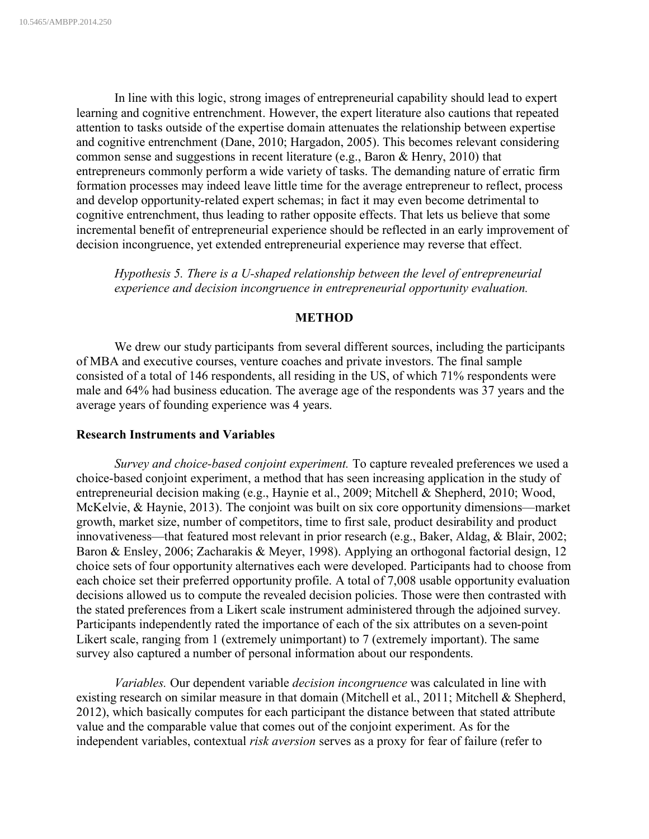In line with this logic, strong images of entrepreneurial capability should lead to expert learning and cognitive entrenchment. However, the expert literature also cautions that repeated attention to tasks outside of the expertise domain attenuates the relationship between expertise and cognitive entrenchment (Dane, 2010; Hargadon, 2005). This becomes relevant considering common sense and suggestions in recent literature (e.g., Baron & Henry, 2010) that entrepreneurs commonly perform a wide variety of tasks. The demanding nature of erratic firm formation processes may indeed leave little time for the average entrepreneur to reflect, process and develop opportunity-related expert schemas; in fact it may even become detrimental to cognitive entrenchment, thus leading to rather opposite effects. That lets us believe that some incremental benefit of entrepreneurial experience should be reflected in an early improvement of decision incongruence, yet extended entrepreneurial experience may reverse that effect.

*Hypothesis 5. There is a U-shaped relationship between the level of entrepreneurial experience and decision incongruence in entrepreneurial opportunity evaluation.*

## **METHOD**

We drew our study participants from several different sources, including the participants of MBA and executive courses, venture coaches and private investors. The final sample consisted of a total of 146 respondents, all residing in the US, of which 71% respondents were male and 64% had business education. The average age of the respondents was 37 years and the average years of founding experience was 4 years.

#### **Research Instruments and Variables**

*Survey and choice-based conjoint experiment.* To capture revealed preferences we used a choice-based conjoint experiment, a method that has seen increasing application in the study of entrepreneurial decision making (e.g., Haynie et al., 2009; Mitchell & Shepherd, 2010; Wood, McKelvie, & Haynie, 2013). The conjoint was built on six core opportunity dimensions—market growth, market size, number of competitors, time to first sale, product desirability and product innovativeness—that featured most relevant in prior research (e.g., Baker, Aldag, & Blair, 2002; Baron & Ensley, 2006; Zacharakis & Meyer, 1998). Applying an orthogonal factorial design, 12 choice sets of four opportunity alternatives each were developed. Participants had to choose from each choice set their preferred opportunity profile. A total of 7,008 usable opportunity evaluation decisions allowed us to compute the revealed decision policies. Those were then contrasted with the stated preferences from a Likert scale instrument administered through the adjoined survey. Participants independently rated the importance of each of the six attributes on a seven-point Likert scale, ranging from 1 (extremely unimportant) to 7 (extremely important). The same survey also captured a number of personal information about our respondents.

*Variables.* Our dependent variable *decision incongruence* was calculated in line with existing research on similar measure in that domain (Mitchell et al., 2011; Mitchell & Shepherd, 2012), which basically computes for each participant the distance between that stated attribute value and the comparable value that comes out of the conjoint experiment. As for the independent variables, contextual *risk aversion* serves as a proxy for fear of failure (refer to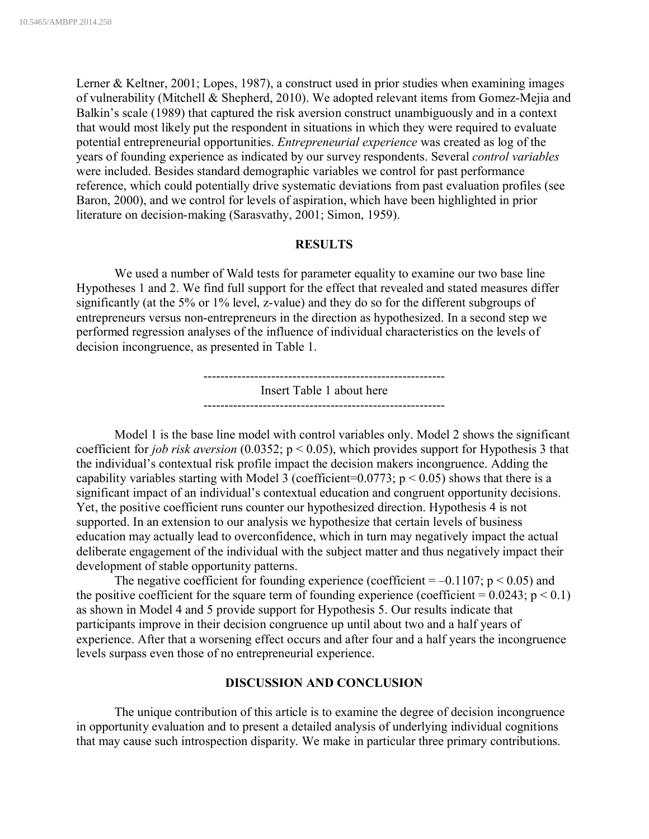Lerner & Keltner, 2001; Lopes, 1987), a construct used in prior studies when examining images of vulnerability (Mitchell & Shepherd, 2010). We adopted relevant items from Gomez-Mejia and Balkin's scale (1989) that captured the risk aversion construct unambiguously and in a context that would most likely put the respondent in situations in which they were required to evaluate potential entrepreneurial opportunities. *Entrepreneurial experience* was created as log of the years of founding experience as indicated by our survey respondents. Several *control variables* were included. Besides standard demographic variables we control for past performance reference, which could potentially drive systematic deviations from past evaluation profiles (see Baron, 2000), and we control for levels of aspiration, which have been highlighted in prior literature on decision-making (Sarasvathy, 2001; Simon, 1959).

## **RESULTS**

We used a number of Wald tests for parameter equality to examine our two base line Hypotheses 1 and 2. We find full support for the effect that revealed and stated measures differ significantly (at the 5% or 1% level, z-value) and they do so for the different subgroups of entrepreneurs versus non-entrepreneurs in the direction as hypothesized. In a second step we performed regression analyses of the influence of individual characteristics on the levels of decision incongruence, as presented in Table 1.

> --------------------------------------------------------- Insert Table 1 about here ---------------------------------------------------------

Model 1 is the base line model with control variables only. Model 2 shows the significant coefficient for *job risk aversion* (0.0352; p < 0.05), which provides support for Hypothesis 3 that the individual's contextual risk profile impact the decision makers incongruence. Adding the capability variables starting with Model 3 (coefficient=0.0773;  $p < 0.05$ ) shows that there is a significant impact of an individual's contextual education and congruent opportunity decisions. Yet, the positive coefficient runs counter our hypothesized direction. Hypothesis 4 is not supported. In an extension to our analysis we hypothesize that certain levels of business education may actually lead to overconfidence, which in turn may negatively impact the actual deliberate engagement of the individual with the subject matter and thus negatively impact their development of stable opportunity patterns.

The negative coefficient for founding experience (coefficient  $= -0.1107$ ; p  $\leq 0.05$ ) and the positive coefficient for the square term of founding experience (coefficient =  $0.0243$ ; p < 0.1) as shown in Model 4 and 5 provide support for Hypothesis 5. Our results indicate that participants improve in their decision congruence up until about two and a half years of experience. After that a worsening effect occurs and after four and a half years the incongruence levels surpass even those of no entrepreneurial experience.

## **DISCUSSION AND CONCLUSION**

The unique contribution of this article is to examine the degree of decision incongruence in opportunity evaluation and to present a detailed analysis of underlying individual cognitions that may cause such introspection disparity. We make in particular three primary contributions.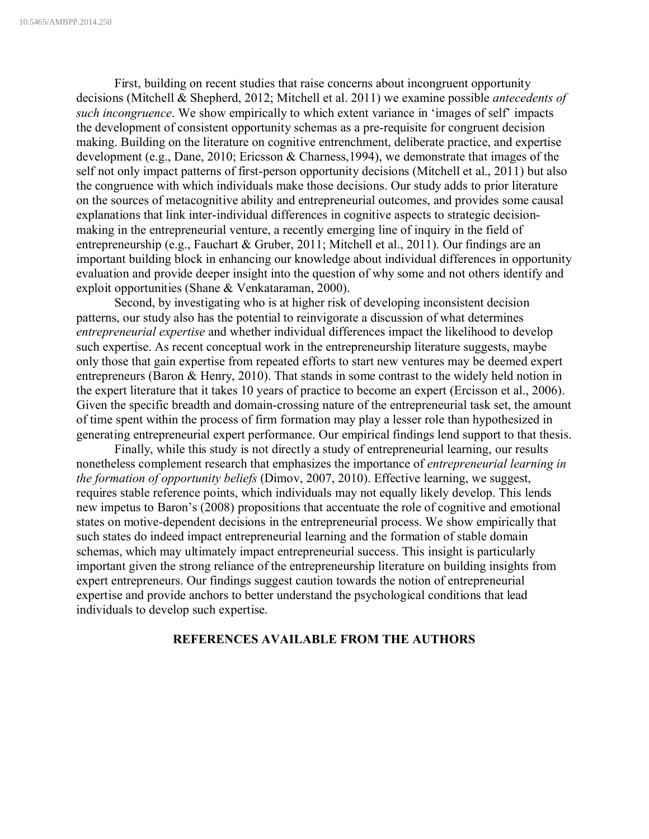First, building on recent studies that raise concerns about incongruent opportunity decisions (Mitchell & Shepherd, 2012; Mitchell et al. 2011) we examine possible *antecedents of such incongruence*. We show empirically to which extent variance in 'images of self' impacts the development of consistent opportunity schemas as a pre-requisite for congruent decision making. Building on the literature on cognitive entrenchment, deliberate practice, and expertise development (e.g., Dane, 2010; Ericsson & Charness, 1994), we demonstrate that images of the self not only impact patterns of first-person opportunity decisions (Mitchell et al., 2011) but also the congruence with which individuals make those decisions. Our study adds to prior literature on the sources of metacognitive ability and entrepreneurial outcomes, and provides some causal explanations that link inter-individual differences in cognitive aspects to strategic decisionmaking in the entrepreneurial venture, a recently emerging line of inquiry in the field of entrepreneurship (e.g., Fauchart & Gruber, 2011; Mitchell et al., 2011). Our findings are an important building block in enhancing our knowledge about individual differences in opportunity evaluation and provide deeper insight into the question of why some and not others identify and exploit opportunities (Shane & Venkataraman, 2000).

Second, by investigating who is at higher risk of developing inconsistent decision patterns, our study also has the potential to reinvigorate a discussion of what determines *entrepreneurial expertise* and whether individual differences impact the likelihood to develop such expertise. As recent conceptual work in the entrepreneurship literature suggests, maybe only those that gain expertise from repeated efforts to start new ventures may be deemed expert entrepreneurs (Baron & Henry, 2010). That stands in some contrast to the widely held notion in the expert literature that it takes 10 years of practice to become an expert (Ercisson et al., 2006). Given the specific breadth and domain-crossing nature of the entrepreneurial task set, the amount of time spent within the process of firm formation may play a lesser role than hypothesized in generating entrepreneurial expert performance. Our empirical findings lend support to that thesis.

Finally, while this study is not directly a study of entrepreneurial learning, our results nonetheless complement research that emphasizes the importance of *entrepreneurial learning in the formation of opportunity beliefs* (Dimov, 2007, 2010). Effective learning, we suggest, requires stable reference points, which individuals may not equally likely develop. This lends new impetus to Baron's (2008) propositions that accentuate the role of cognitive and emotional states on motive-dependent decisions in the entrepreneurial process. We show empirically that such states do indeed impact entrepreneurial learning and the formation of stable domain schemas, which may ultimately impact entrepreneurial success. This insight is particularly important given the strong reliance of the entrepreneurship literature on building insights from expert entrepreneurs. Our findings suggest caution towards the notion of entrepreneurial expertise and provide anchors to better understand the psychological conditions that lead individuals to develop such expertise.

#### **REFERENCES AVAILABLE FROM THE AUTHORS**